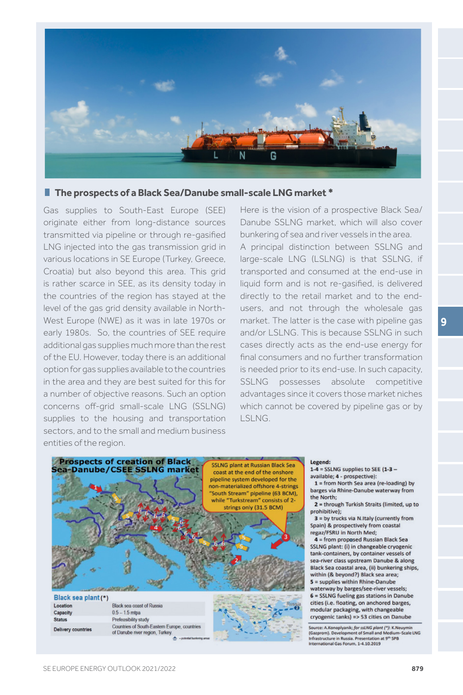

## **The prospects of a Black Sea/Danube small-scale LNG market \***

Gas supplies to South-East Europe (SEE) originate either from long-distance sources transmitted via pipeline or through re-gasified LNG injected into the gas transmission grid in various locations in SE Europe (Turkey, Greece, Croatia) but also beyond this area. This grid is rather scarce in SEE, as its density today in the countries of the region has stayed at the level of the gas grid density available in North-West Europe (NWE) as it was in late 1970s or early 1980s. So, the countries of SEE require additional gas supplies much more than the rest of the EU. However, today there is an additional option for gas supplies available to the countries in the area and they are best suited for this for a number of objective reasons. Such an option concerns off-grid small-scale LNG (SSLNG) supplies to the housing and transportation sectors, and to the small and medium business entities of the region.

Here is the vision of a prospective Black Sea/ Danube SSLNG market, which will also cover bunkering of sea and river vessels in the area.

A principal distinction between SSLNG and large-scale LNG (LSLNG) is that SSLNG, if transported and consumed at the end-use in liquid form and is not re-gasified, is delivered directly to the retail market and to the endusers, and not through the wholesale gas market. The latter is the case with pipeline gas and/or LSLNG. This is because SSLNG in such cases directly acts as the end-use energy for final consumers and no further transformation is needed prior to its end-use. In such capacity, SSLNG possesses absolute competitive advantages since it covers those market niches which cannot be covered by pipeline gas or by LSLNG.



## Legend:

 $1-4 =$  SSLNG supplies to SEE (1-3 available; 4 - prospective):

 $1 = from North Sea area (re-localing) by$ barges via Rhine-Danube waterway from the North:

2 = through Turkish Straits (limited, up to prohibitive):

3 = by trucks via N.Italy (currently from Spain) & prospectively from coastal regaz/FSRU in North Med;

4 = from proposed Russian Black Sea SSLNG plant: (i) in changeable cryogenic tank-containers, by container vessels of sea-river class upstream Danube & along Black Sea coastal area, (ii) bunkering ships, within (& beyond?) Black sea area;

5 = supplies within Rhine-Danube waterway by barges/see-river vessels; 6 = SSLNG fueling gas stations in Danube cities (i.e. floating, on anchored barges, modular packaging, with changeable cryogenic tanks) => 53 cities on Danube

-<br>Source: A.Konoplyanik; *for ssLNG plant (\*)*: K.Neuymin<br>(Gazprom). Development of Small and Medium-Scale LNG<br>Infrastructure in Russia. Presentation at 9<sup>th</sup> SPB mational Gas Forum, 1-4.10.2019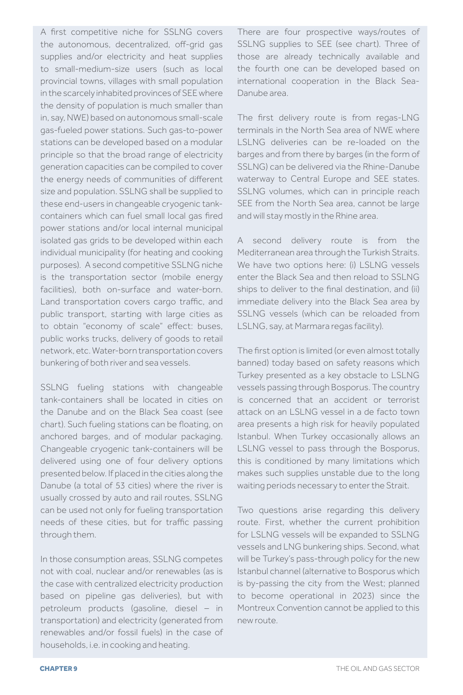A first competitive niche for SSLNG covers the autonomous, decentralized, off-grid gas supplies and/or electricity and heat supplies to small-medium-size users (such as local provincial towns, villages with small population in the scarcely inhabited provinces of SEE where the density of population is much smaller than in, say, NWE) based on autonomous small-scale gas-fueled power stations. Such gas-to-power stations can be developed based on a modular principle so that the broad range of electricity generation capacities can be compiled to cover the energy needs of communities of different size and population. SSLNG shall be supplied to these end-users in changeable cryogenic tankcontainers which can fuel small local gas fired power stations and/or local internal municipal isolated gas grids to be developed within each individual municipality (for heating and cooking purposes). A second competitive SSLNG niche is the transportation sector (mobile energy facilities), both on-surface and water-born. Land transportation covers cargo traffic, and public transport, starting with large cities as to obtain "economy of scale" effect: buses, public works trucks, delivery of goods to retail network, etc. Water-born transportation covers bunkering of both river and sea vessels.

SSLNG fueling stations with changeable tank-containers shall be located in cities on the Danube and on the Black Sea coast (see chart). Such fueling stations can be floating, on anchored barges, and of modular packaging. Changeable cryogenic tank-containers will be delivered using one of four delivery options presented below. If placed in the cities along the Danube (a total of 53 cities) where the river is usually crossed by auto and rail routes, SSLNG can be used not only for fueling transportation needs of these cities, but for traffic passing through them.

In those consumption areas, SSLNG competes not with coal, nuclear and/or renewables (as is the case with centralized electricity production based on pipeline gas deliveries), but with petroleum products (gasoline, diesel – in transportation) and electricity (generated from renewables and/or fossil fuels) in the case of households, i.e. in cooking and heating.

There are four prospective ways/routes of SSLNG supplies to SEE (see chart). Three of those are already technically available and the fourth one can be developed based on international cooperation in the Black Sea-Danube area.

The first delivery route is from regas-LNG terminals in the North Sea area of NWE where LSLNG deliveries can be re-loaded on the barges and from there by barges (in the form of SSLNG) can be delivered via the Rhine-Danube waterway to Central Europe and SEE states. SSLNG volumes, which can in principle reach SEE from the North Sea area, cannot be large and will stay mostly in the Rhine area.

A second delivery route is from the Mediterranean area through the Turkish Straits. We have two options here: (i) LSLNG vessels enter the Black Sea and then reload to SSLNG ships to deliver to the final destination, and (ii) immediate delivery into the Black Sea area by SSLNG vessels (which can be reloaded from LSLNG, say, at Marmara regas facility).

The first option is limited (or even almost totally banned) today based on safety reasons which Turkey presented as a key obstacle to LSLNG vessels passing through Bosporus. The country is concerned that an accident or terrorist attack on an LSLNG vessel in a de facto town area presents a high risk for heavily populated Istanbul. When Turkey occasionally allows an LSLNG vessel to pass through the Bosporus, this is conditioned by many limitations which makes such supplies unstable due to the long waiting periods necessary to enter the Strait.

Two questions arise regarding this delivery route. First, whether the current prohibition for LSLNG vessels will be expanded to SSLNG vessels and LNG bunkering ships. Second, what will be Turkey's pass-through policy for the new Istanbul channel (alternative to Bosporus which is by-passing the city from the West; planned to become operational in 2023) since the Montreux Convention cannot be applied to this new route.